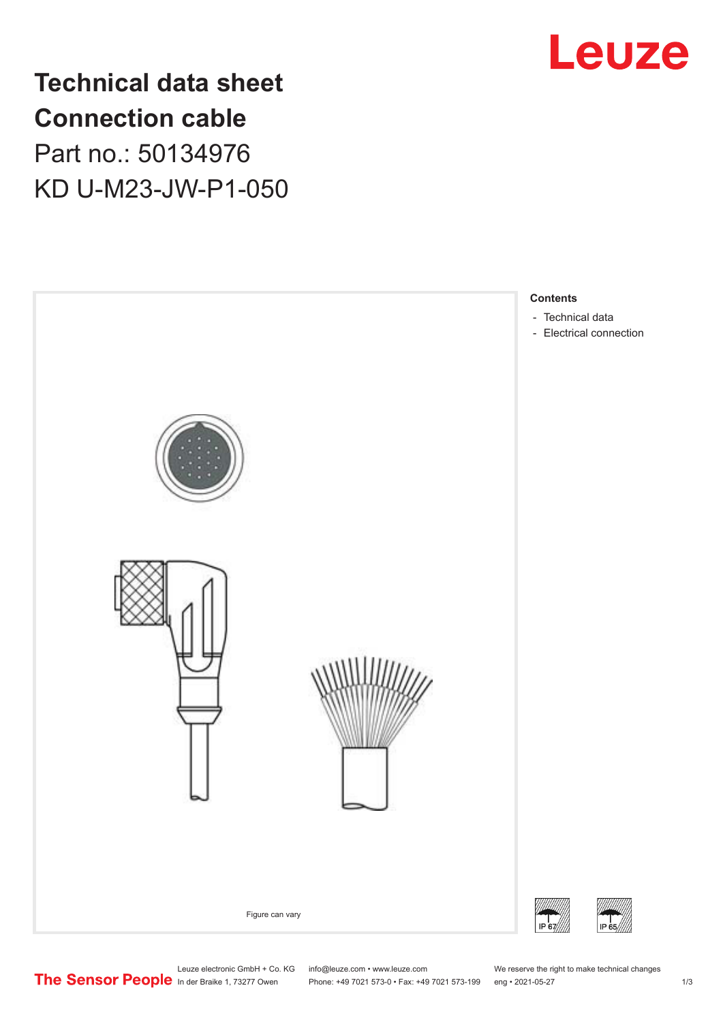

**Technical data sheet Connection cable** Part no.: 50134976 KD U-M23-JW-P1-050



Leuze electronic GmbH + Co. KG info@leuze.com • www.leuze.com We reserve the right to make technical changes<br>
The Sensor People in der Braike 1, 73277 Owen Phone: +49 7021 573-0 • Fax: +49 7021 573-199 eng • 2021-05-27 Phone: +49 7021 573-0 • Fax: +49 7021 573-199 eng • 2021-05-27 1 2021-05-27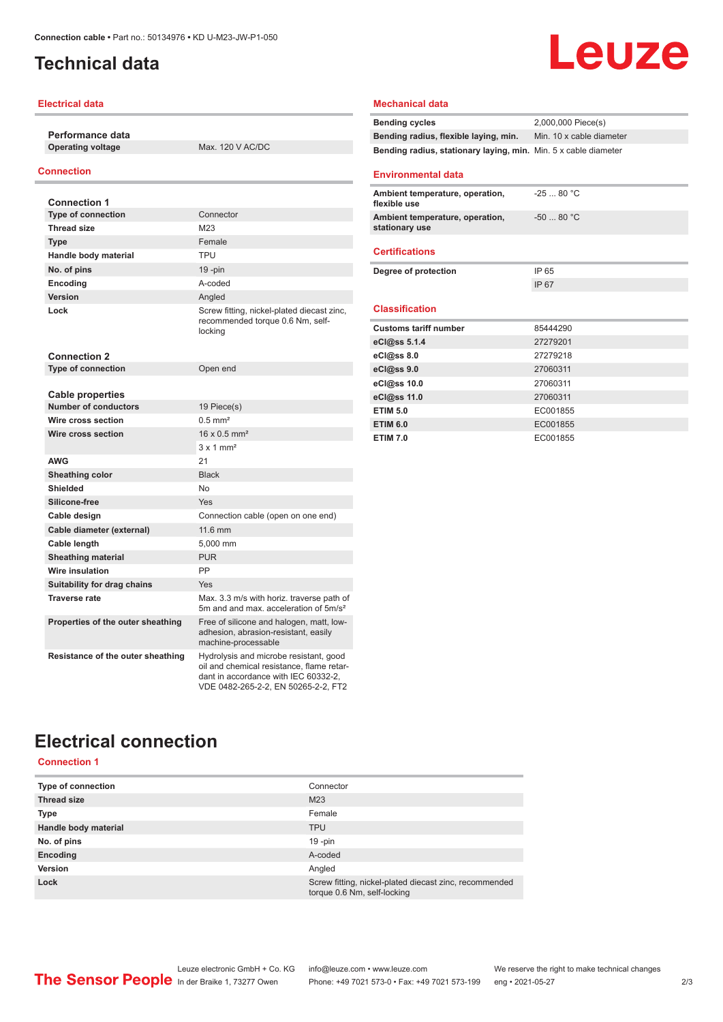# <span id="page-1-0"></span>**Technical data**

### **Electrical data**

**Performance data Operating voltage** Max. 120 V AC/DC

## **Connection**

| <b>Connection 1</b>               |                                                                                                                                                                    |
|-----------------------------------|--------------------------------------------------------------------------------------------------------------------------------------------------------------------|
| <b>Type of connection</b>         | Connector                                                                                                                                                          |
| <b>Thread size</b>                | M23                                                                                                                                                                |
| Type                              | Female                                                                                                                                                             |
| Handle body material              | <b>TPU</b>                                                                                                                                                         |
| No. of pins                       | $19 - pin$                                                                                                                                                         |
| Encoding                          | A-coded                                                                                                                                                            |
| Version                           | Angled                                                                                                                                                             |
| Lock                              | Screw fitting, nickel-plated diecast zinc,<br>recommended torque 0.6 Nm, self-<br>locking                                                                          |
| <b>Connection 2</b>               |                                                                                                                                                                    |
| <b>Type of connection</b>         | Open end                                                                                                                                                           |
|                                   |                                                                                                                                                                    |
| <b>Cable properties</b>           |                                                                                                                                                                    |
| <b>Number of conductors</b>       | 19 Piece(s)                                                                                                                                                        |
| Wire cross section                | $0.5$ mm <sup>2</sup>                                                                                                                                              |
| Wire cross section                | $16 \times 0.5$ mm <sup>2</sup>                                                                                                                                    |
|                                   | $3 \times 1$ mm <sup>2</sup>                                                                                                                                       |
| AWG                               | 21                                                                                                                                                                 |
| <b>Sheathing color</b>            | <b>Black</b>                                                                                                                                                       |
| Shielded                          | <b>No</b>                                                                                                                                                          |
| Silicone-free                     | Yes                                                                                                                                                                |
| Cable design                      | Connection cable (open on one end)                                                                                                                                 |
| Cable diameter (external)         | 11.6 mm                                                                                                                                                            |
| Cable length                      | 5,000 mm                                                                                                                                                           |
| <b>Sheathing material</b>         | <b>PUR</b>                                                                                                                                                         |
| Wire insulation                   | PP                                                                                                                                                                 |
| Suitability for drag chains       | Yes                                                                                                                                                                |
| <b>Traverse rate</b>              | Max, 3.3 m/s with horiz, traverse path of<br>5m and and max, acceleration of 5m/s <sup>2</sup>                                                                     |
| Properties of the outer sheathing | Free of silicone and halogen, matt, low-<br>adhesion, abrasion-resistant, easily<br>machine-processable                                                            |
| Resistance of the outer sheathing | Hydrolysis and microbe resistant, good<br>oil and chemical resistance, flame retar-<br>dant in accordance with IEC 60332-2.<br>VDE 0482-265-2-2, EN 50265-2-2, FT2 |

# Leuze

## **Mechanical data**

| <b>Bending cycles</b>                                           | 2,000,000 Piece(s)       |
|-----------------------------------------------------------------|--------------------------|
| Bending radius, flexible laying, min.                           | Min. 10 x cable diameter |
| Bending radius, stationary laying, min. Min. 5 x cable diameter |                          |
|                                                                 |                          |

### **Environmental data**

| Ambient temperature, operation,<br>flexible use   | $-2580 °C$  |
|---------------------------------------------------|-------------|
| Ambient temperature, operation,<br>stationary use | $-50$ 80 °C |
| <b>Certifications</b>                             |             |
|                                                   |             |
| Degree of protection                              | IP 65       |
|                                                   | IP 67       |
|                                                   |             |
| <b>Classification</b>                             |             |
|                                                   |             |
| <b>Customs tariff number</b>                      | 85444290    |
| eCl@ss 5.1.4                                      | 27279201    |
| eCl@ss 8.0                                        | 27279218    |
| eCl@ss 9.0                                        | 27060311    |
| eCl@ss 10.0                                       | 27060311    |
| eCl@ss 11.0                                       | 27060311    |
| <b>ETIM 5.0</b>                                   | EC001855    |
| <b>ETIM 6.0</b>                                   | EC001855    |

# **Electrical connection**

**Connection 1**

| Type of connection   | Connector                                                                             |
|----------------------|---------------------------------------------------------------------------------------|
| <b>Thread size</b>   | M <sub>23</sub>                                                                       |
| <b>Type</b>          | Female                                                                                |
| Handle body material | <b>TPU</b>                                                                            |
| No. of pins          | $19 - pin$                                                                            |
| Encoding             | A-coded                                                                               |
| Version              | Angled                                                                                |
| Lock                 | Screw fitting, nickel-plated diecast zinc, recommended<br>torque 0.6 Nm, self-locking |